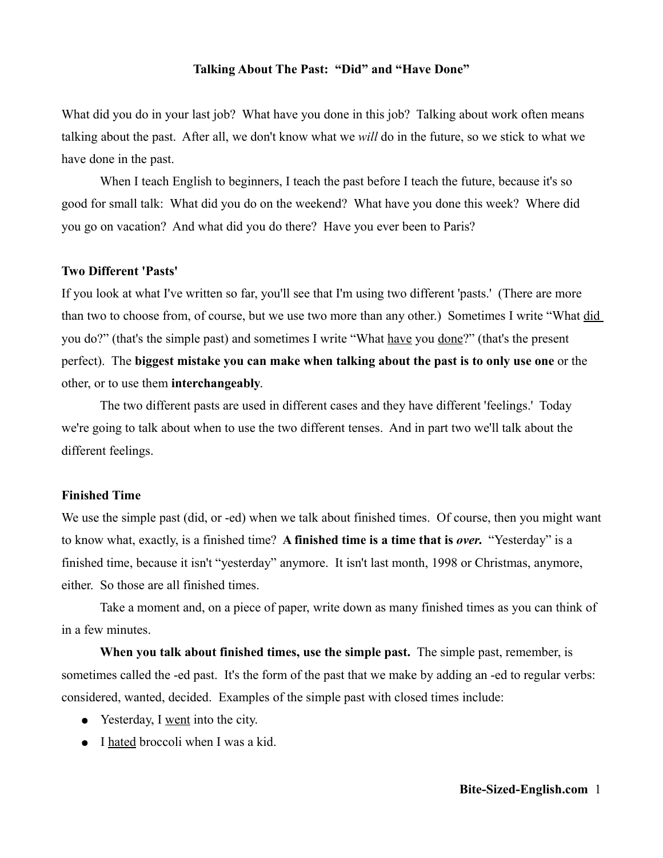### **Talking About The Past: "Did" and "Have Done"**

What did you do in your last job? What have you done in this job? Talking about work often means talking about the past. After all, we don't know what we *will* do in the future, so we stick to what we have done in the past.

When I teach English to beginners, I teach the past before I teach the future, because it's so good for small talk: What did you do on the weekend? What have you done this week? Where did you go on vacation? And what did you do there? Have you ever been to Paris?

### **Two Different 'Pasts'**

If you look at what I've written so far, you'll see that I'm using two different 'pasts.' (There are more than two to choose from, of course, but we use two more than any other.) Sometimes I write "What did you do?" (that's the simple past) and sometimes I write "What have you done?" (that's the present perfect). The **biggest mistake you can make when talking about the past is to only use one** or the other, or to use them **interchangeably**.

The two different pasts are used in different cases and they have different 'feelings.' Today we're going to talk about when to use the two different tenses. And in part two we'll talk about the different feelings.

### **Finished Time**

We use the simple past (did, or -ed) when we talk about finished times. Of course, then you might want to know what, exactly, is a finished time? **A finished time is a time that is** *over***.** "Yesterday" is a finished time, because it isn't "yesterday" anymore. It isn't last month, 1998 or Christmas, anymore, either. So those are all finished times.

Take a moment and, on a piece of paper, write down as many finished times as you can think of in a few minutes.

**When you talk about finished times, use the simple past.** The simple past, remember, is sometimes called the -ed past. It's the form of the past that we make by adding an -ed to regular verbs: considered, wanted, decided. Examples of the simple past with closed times include:

- Yesterday, I went into the city.
- I hated broccoli when I was a kid.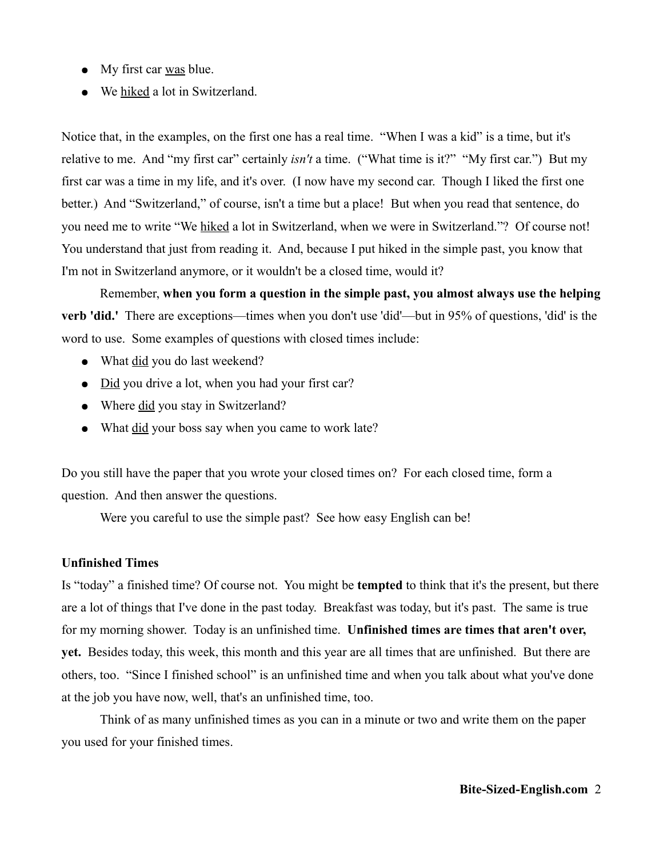- My first car was blue.
- We hiked a lot in Switzerland.

Notice that, in the examples, on the first one has a real time. "When I was a kid" is a time, but it's relative to me. And "my first car" certainly *isn't* a time. ("What time is it?" "My first car.") But my first car was a time in my life, and it's over. (I now have my second car. Though I liked the first one better.) And "Switzerland," of course, isn't a time but a place! But when you read that sentence, do you need me to write "We hiked a lot in Switzerland, when we were in Switzerland."? Of course not! You understand that just from reading it. And, because I put hiked in the simple past, you know that I'm not in Switzerland anymore, or it wouldn't be a closed time, would it?

Remember, **when you form a question in the simple past, you almost always use the helping verb 'did.'** There are exceptions—times when you don't use 'did'—but in 95% of questions, 'did' is the word to use. Some examples of questions with closed times include:

- What did you do last weekend?
- Did you drive a lot, when you had your first car?
- Where did you stay in Switzerland?
- What did your boss say when you came to work late?

Do you still have the paper that you wrote your closed times on? For each closed time, form a question. And then answer the questions.

Were you careful to use the simple past? See how easy English can be!

# **Unfinished Times**

Is "today" a finished time? Of course not. You might be **tempted** to think that it's the present, but there are a lot of things that I've done in the past today. Breakfast was today, but it's past. The same is true for my morning shower. Today is an unfinished time. **Unfinished times are times that aren't over, yet.** Besides today, this week, this month and this year are all times that are unfinished. But there are others, too. "Since I finished school" is an unfinished time and when you talk about what you've done at the job you have now, well, that's an unfinished time, too.

Think of as many unfinished times as you can in a minute or two and write them on the paper you used for your finished times.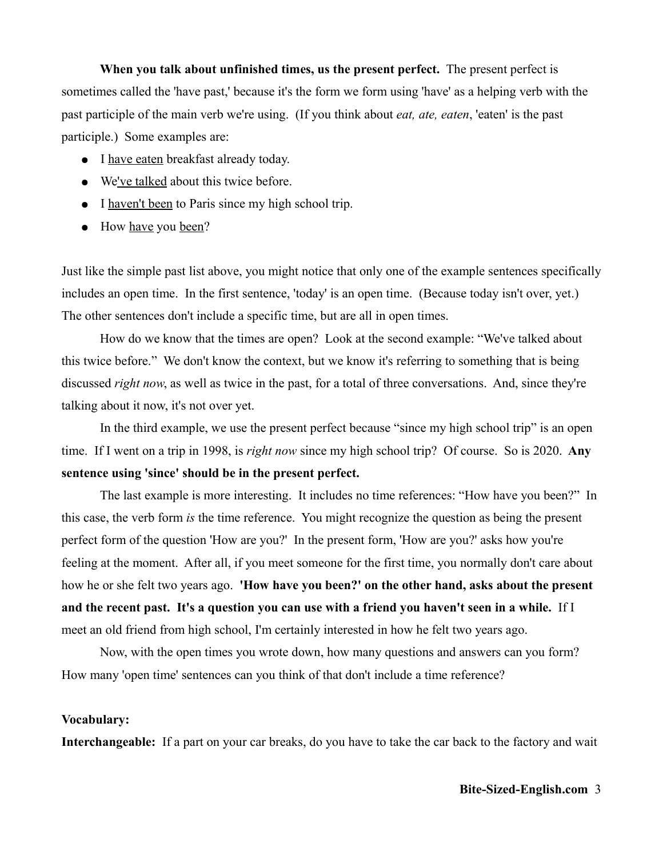**When you talk about unfinished times, us the present perfect.** The present perfect is sometimes called the 'have past,' because it's the form we form using 'have' as a helping verb with the past participle of the main verb we're using. (If you think about *eat, ate, eaten*, 'eaten' is the past participle.) Some examples are:

- I have eaten breakfast already today.
- We've talked about this twice before.
- I haven't been to Paris since my high school trip.
- How <u>have</u> you been?

Just like the simple past list above, you might notice that only one of the example sentences specifically includes an open time. In the first sentence, 'today' is an open time. (Because today isn't over, yet.) The other sentences don't include a specific time, but are all in open times.

How do we know that the times are open? Look at the second example: "We've talked about this twice before." We don't know the context, but we know it's referring to something that is being discussed *right now*, as well as twice in the past, for a total of three conversations. And, since they're talking about it now, it's not over yet.

In the third example, we use the present perfect because "since my high school trip" is an open time. If I went on a trip in 1998, is *right now* since my high school trip? Of course. So is 2020. **Any sentence using 'since' should be in the present perfect.**

The last example is more interesting. It includes no time references: "How have you been?" In this case, the verb form *is* the time reference. You might recognize the question as being the present perfect form of the question 'How are you?' In the present form, 'How are you?' asks how you're feeling at the moment. After all, if you meet someone for the first time, you normally don't care about how he or she felt two years ago. **'How have you been?' on the other hand, asks about the present and the recent past. It's a question you can use with a friend you haven't seen in a while.** If I meet an old friend from high school, I'm certainly interested in how he felt two years ago.

Now, with the open times you wrote down, how many questions and answers can you form? How many 'open time' sentences can you think of that don't include a time reference?

### **Vocabulary:**

**Interchangeable:** If a part on your car breaks, do you have to take the car back to the factory and wait

## **Bite-Sized-English.com** 3